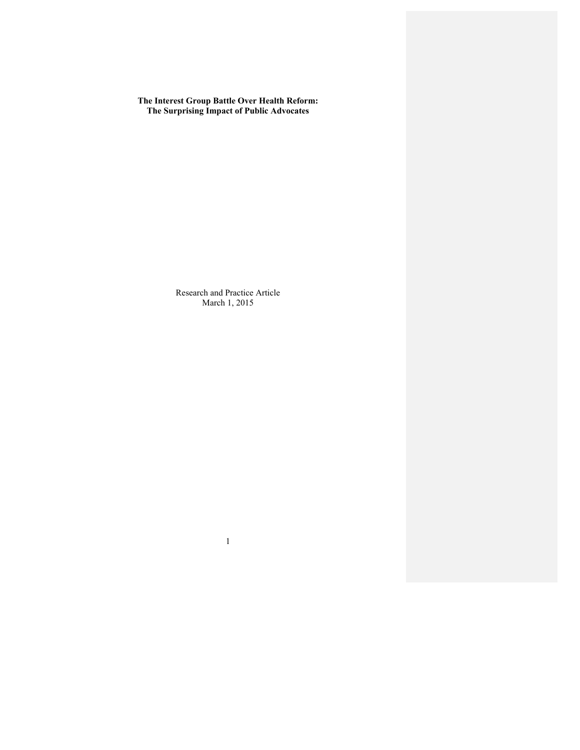**The Interest Group Battle Over Health Reform: The Surprising Impact of Public Advocates**

> Research and Practice Article March 1, 2015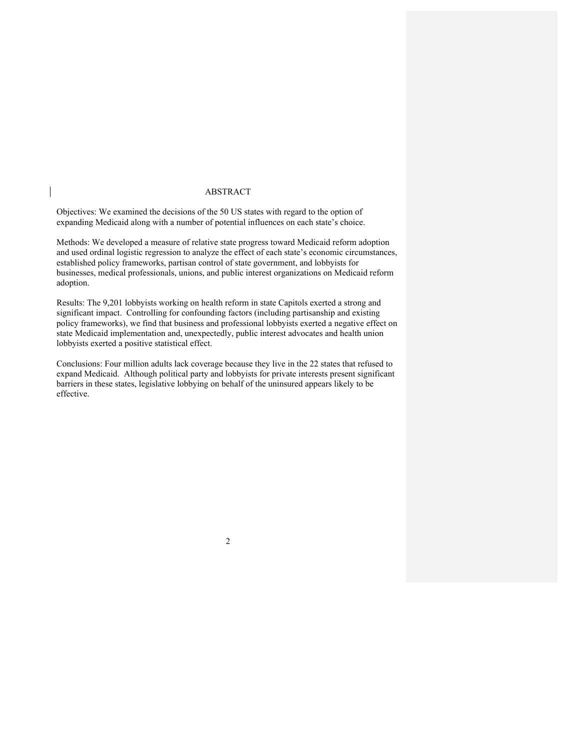#### ABSTRACT

Objectives: We examined the decisions of the 50 US states with regard to the option of expanding Medicaid along with a number of potential influences on each state's choice.

Methods: We developed a measure of relative state progress toward Medicaid reform adoption and used ordinal logistic regression to analyze the effect of each state's economic circumstances, established policy frameworks, partisan control of state government, and lobbyists for businesses, medical professionals, unions, and public interest organizations on Medicaid reform adoption.

Results: The 9,201 lobbyists working on health reform in state Capitols exerted a strong and significant impact. Controlling for confounding factors (including partisanship and existing policy frameworks), we find that business and professional lobbyists exerted a negative effect on state Medicaid implementation and, unexpectedly, public interest advocates and health union lobbyists exerted a positive statistical effect.

Conclusions: Four million adults lack coverage because they live in the 22 states that refused to expand Medicaid. Although political party and lobbyists for private interests present significant barriers in these states, legislative lobbying on behalf of the uninsured appears likely to be effective.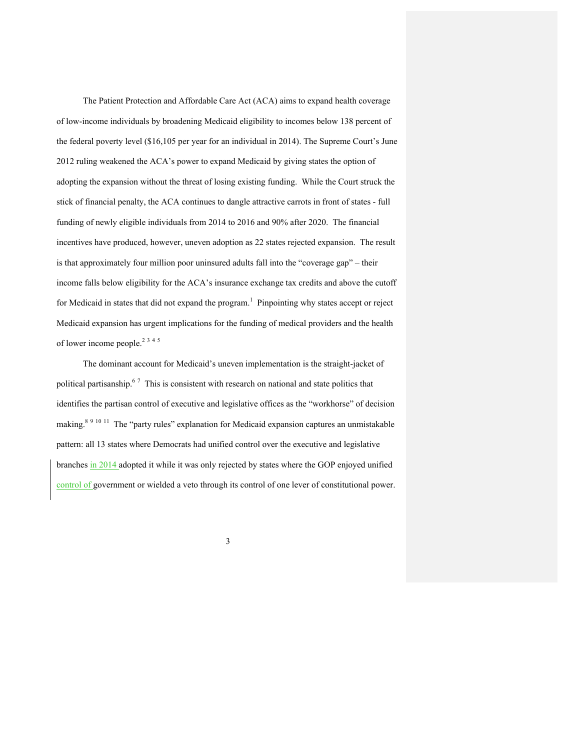The Patient Protection and Affordable Care Act (ACA) aims to expand health coverage of low-income individuals by broadening Medicaid eligibility to incomes below 138 percent of the federal poverty level (\$16,105 per year for an individual in 2014). The Supreme Court's June 2012 ruling weakened the ACA's power to expand Medicaid by giving states the option of adopting the expansion without the threat of losing existing funding. While the Court struck the stick of financial penalty, the ACA continues to dangle attractive carrots in front of states - full funding of newly eligible individuals from 2014 to 2016 and 90% after 2020. The financial incentives have produced, however, uneven adoption as 22 states rejected expansion. The result is that approximately four million poor uninsured adults fall into the "coverage gap" – their income falls below eligibility for the ACA's insurance exchange tax credits and above the cutoff for Medicaid in states that did not expand the program.<sup>1</sup> Pinpointing why states accept or reject Medicaid expansion has urgent implications for the funding of medical providers and the health of lower income people.<sup>2 3 4 5</sup>

The dominant account for Medicaid's uneven implementation is the straight-jacket of political partisanship.<sup>67</sup> This is consistent with research on national and state politics that identifies the partisan control of executive and legislative offices as the "workhorse" of decision making.<sup>8 9 10 11</sup> The "party rules" explanation for Medicaid expansion captures an unmistakable pattern: all 13 states where Democrats had unified control over the executive and legislative branches in 2014 adopted it while it was only rejected by states where the GOP enjoyed unified control of government or wielded a veto through its control of one lever of constitutional power.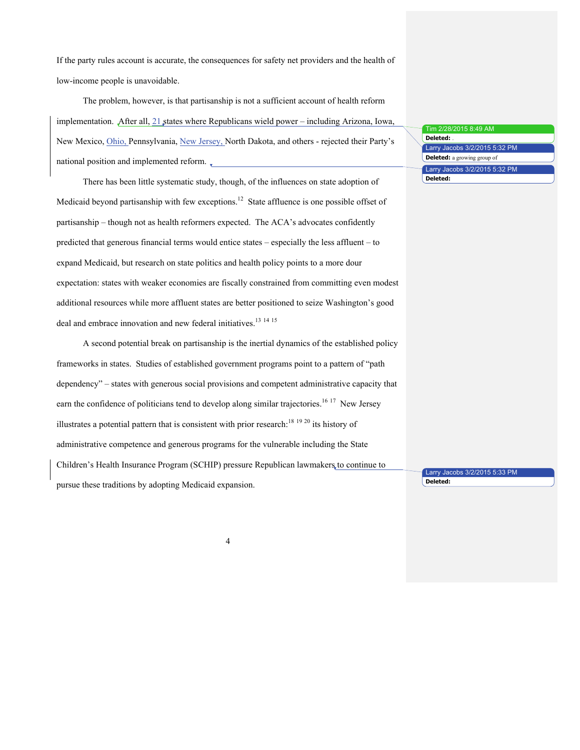If the party rules account is accurate, the consequences for safety net providers and the health of low-income people is unavoidable.

The problem, however, is that partisanship is not a sufficient account of health reform implementation. After all, 21 states where Republicans wield power – including Arizona, Iowa, New Mexico, Ohio, Pennsylvania, New Jersey, North Dakota, and others - rejected their Party's national position and implemented reform.

There has been little systematic study, though, of the influences on state adoption of Medicaid beyond partisanship with few exceptions.<sup>12</sup> State affluence is one possible offset of partisanship – though not as health reformers expected. The ACA's advocates confidently predicted that generous financial terms would entice states – especially the less affluent – to expand Medicaid, but research on state politics and health policy points to a more dour expectation: states with weaker economies are fiscally constrained from committing even modest additional resources while more affluent states are better positioned to seize Washington's good deal and embrace innovation and new federal initiatives.<sup>13 14 15</sup>

A second potential break on partisanship is the inertial dynamics of the established policy frameworks in states. Studies of established government programs point to a pattern of "path dependency" – states with generous social provisions and competent administrative capacity that earn the confidence of politicians tend to develop along similar trajectories.<sup>16 17</sup> New Jersey illustrates a potential pattern that is consistent with prior research:<sup>18</sup> <sup>19</sup> <sup>20</sup> its history of administrative competence and generous programs for the vulnerable including the State Children's Health Insurance Program (SCHIP) pressure Republican lawmakers to continue to pursue these traditions by adopting Medicaid expansion.

Tim 2/28/2015 **Deleted:** . Larry Jacobs 3/2/2015 5:32 PM **Deleted:** a growing group of Larry Jacobs 3/2/2015 5:32 PM **Deleted:** 

Larry Jacobs 3/2/2015 5:33 PM **Deleted:**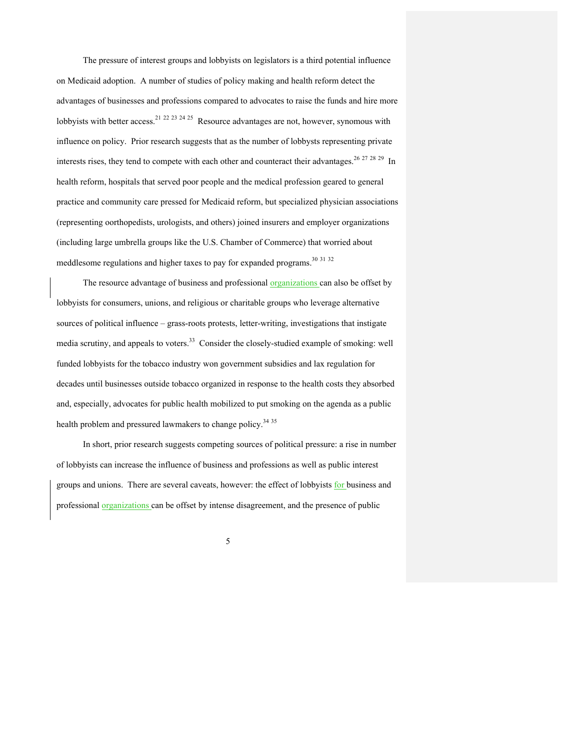The pressure of interest groups and lobbyists on legislators is a third potential influence on Medicaid adoption. A number of studies of policy making and health reform detect the advantages of businesses and professions compared to advocates to raise the funds and hire more lobbyists with better access.<sup>21 22 23 24 25</sup> Resource advantages are not, however, synomous with influence on policy. Prior research suggests that as the number of lobbysts representing private interests rises, they tend to compete with each other and counteract their advantages.<sup>26 27 28 29</sup> In health reform, hospitals that served poor people and the medical profession geared to general practice and community care pressed for Medicaid reform, but specialized physician associations (representing oorthopedists, urologists, and others) joined insurers and employer organizations (including large umbrella groups like the U.S. Chamber of Commerce) that worried about meddlesome regulations and higher taxes to pay for expanded programs.<sup>30 31 32</sup>

The resource advantage of business and professional organizations can also be offset by lobbyists for consumers, unions, and religious or charitable groups who leverage alternative sources of political influence – grass-roots protests, letter-writing, investigations that instigate media scrutiny, and appeals to voters.<sup>33</sup> Consider the closely-studied example of smoking: well funded lobbyists for the tobacco industry won government subsidies and lax regulation for decades until businesses outside tobacco organized in response to the health costs they absorbed and, especially, advocates for public health mobilized to put smoking on the agenda as a public health problem and pressured lawmakers to change policy.<sup>34 35</sup>

In short, prior research suggests competing sources of political pressure: a rise in number of lobbyists can increase the influence of business and professions as well as public interest groups and unions. There are several caveats, however: the effect of lobbyists for business and professional organizations can be offset by intense disagreement, and the presence of public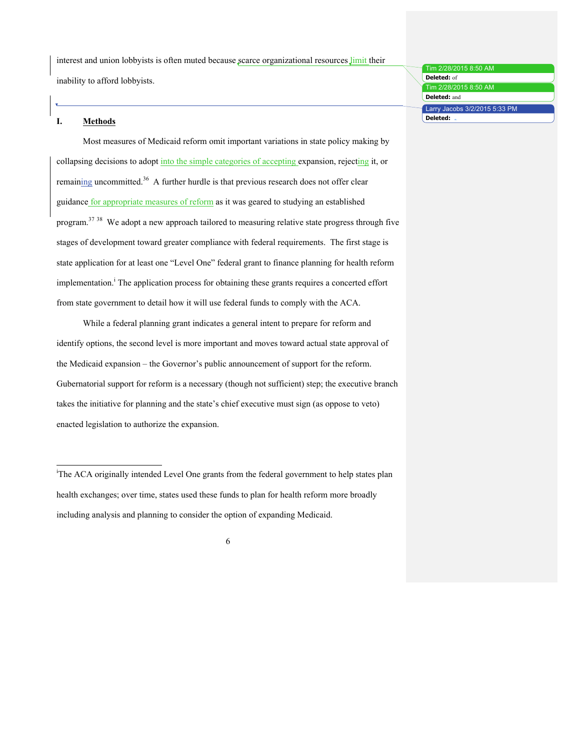interest and union lobbyists is often muted because scarce organizational resources limit their inability to afford lobbyists.

# **I. Methods**

Most measures of Medicaid reform omit important variations in state policy making by collapsing decisions to adopt into the simple categories of accepting expansion, rejecting it, or remaining uncommitted.<sup>36</sup> A further hurdle is that previous research does not offer clear guidance for appropriate measures of reform as it was geared to studying an established program.<sup>37</sup> 38 We adopt a new approach tailored to measuring relative state progress through five stages of development toward greater compliance with federal requirements. The first stage is state application for at least one "Level One" federal grant to finance planning for health reform implementation.<sup>i</sup> The application process for obtaining these grants requires a concerted effort from state government to detail how it will use federal funds to comply with the ACA.

While a federal planning grant indicates a general intent to prepare for reform and identify options, the second level is more important and moves toward actual state approval of the Medicaid expansion – the Governor's public announcement of support for the reform. Gubernatorial support for reform is a necessary (though not sufficient) step; the executive branch takes the initiative for planning and the state's chief executive must sign (as oppose to veto) enacted legislation to authorize the expansion.

 i <sup>i</sup>The ACA originally intended Level One grants from the federal government to help states plan health exchanges; over time, states used these funds to plan for health reform more broadly including analysis and planning to consider the option of expanding Medicaid.

6

#### Tim 2/28/2015 8 **Deleted:** of

Tim 2/28/2015 8:50 AM

**Deleted:** and

**Deleted:** 

Larry Jacobs 3/2/2015 5:33 PM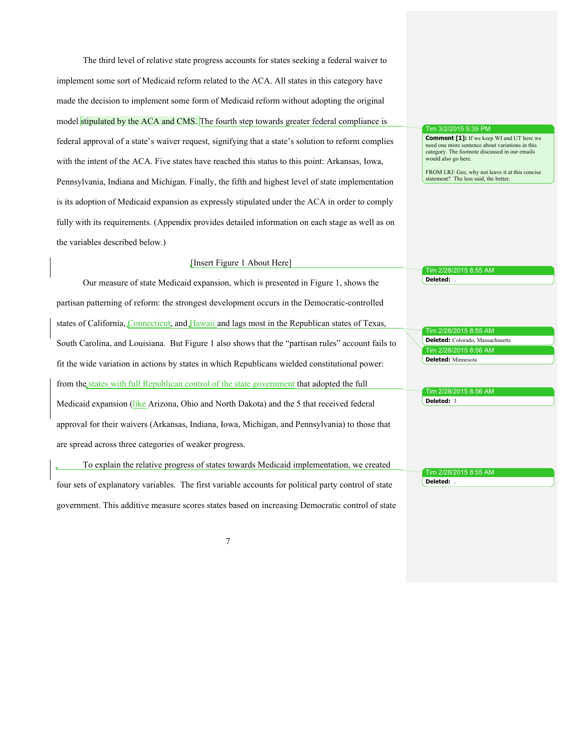The third level of relative state progress accounts for states seeking a federal waiver to implement some sort of Medicaid reform related to the ACA. All states in this category have made the decision to implement some form of Medicaid reform without adopting the original model stipulated by the ACA and CMS. The fourth step towards greater federal compliance is federal approval of a state's waiver request, signifying that a state's solution to reform complies with the intent of the ACA. Five states have reached this status to this point: Arkansas, Iowa, Pennsylvania, Indiana and Michigan. Finally, the fifth and highest level of state implementation is its adoption of Medicaid expansion as expressly stipulated under the ACA in order to comply fully with its requirements. (Appendix provides detailed information on each stage as well as on the variables described below.)

### [Insert Figure 1 About Here]

Our measure of state Medicaid expansion, which is presented in Figure 1, shows the partisan patterning of reform: the strongest development occurs in the Democratic-controlled states of California, Connecticut, and Hawaii and lags most in the Republican states of Texas, South Carolina, and Louisiana. But Figure 1 also shows that the "partisan rules" account fails to fit the wide variation in actions by states in which Republicans wielded constitutional power: from the states with full Republican control of the state government that adopted the full Medicaid expansion (like Arizona, Ohio and North Dakota) and the 5 that received federal approval for their waivers (Arkansas, Indiana, Iowa, Michigan, and Pennsylvania) to those that are spread across three categories of weaker progress.

To explain the relative progress of states towards Medicaid implementation, we created four sets of explanatory variables. The first variable accounts for political party control of state government. This additive measure scores states based on increasing Democratic control of state

#### $3/2/2015535$  PM

**Comment [1]:** If we keep WI and UT here we need one more sentence about variations in this category. The footnote discussed in our emails would also go here.

FROM LRJ: Gee, why not leave it at this concise statement? The less said, the better.

Tim 2/28/2015 8:55 AM **Deleted:** 

Tim 2/28/2015 8:55 AM **Deleted:** Colorado, Massachusetts Tim 2/28/2015 8:56 AM **Deleted:** Minnesota

Tim 2/28/2015 8:56 **Deleted:** 3

Tim 2/28/2015 8:55 AM **Deleted:**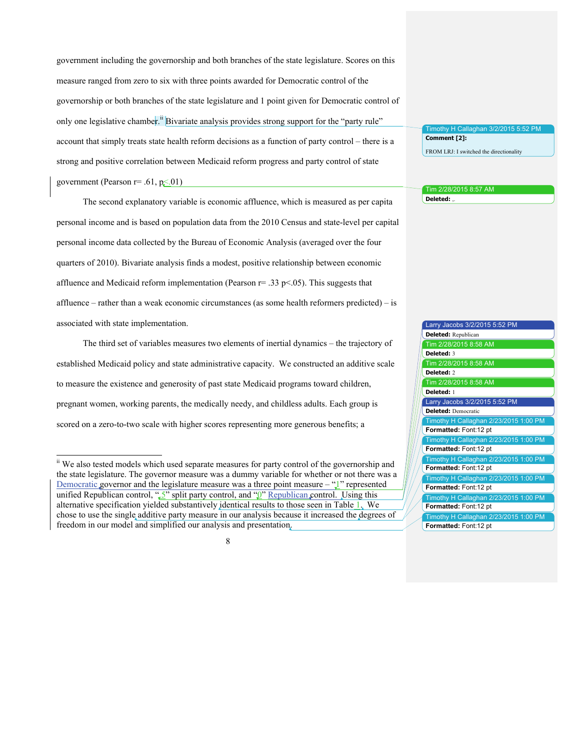government including the governorship and both branches of the state legislature. Scores on this measure ranged from zero to six with three points awarded for Democratic control of the governorship or both branches of the state legislature and 1 point given for Democratic control of only one legislative chamber.<sup>ii</sup> Bivariate analysis provides strong support for the "party rule" account that simply treats state health reform decisions as a function of party control – there is a strong and positive correlation between Medicaid reform progress and party control of state government (Pearson  $r = .61$ ,  $p \le 01$ )

The second explanatory variable is economic affluence, which is measured as per capita personal income and is based on population data from the 2010 Census and state-level per capital personal income data collected by the Bureau of Economic Analysis (averaged over the four quarters of 2010). Bivariate analysis finds a modest, positive relationship between economic affluence and Medicaid reform implementation (Pearson  $r = .33$  p<.05). This suggests that affluence – rather than a weak economic circumstances (as some health reformers predicted) – is associated with state implementation.

The third set of variables measures two elements of inertial dynamics – the trajectory of established Medicaid policy and state administrative capacity. We constructed an additive scale to measure the existence and generosity of past state Medicaid programs toward children, pregnant women, working parents, the medically needy, and childless adults. Each group is scored on a zero-to-two scale with higher scores representing more generous benefits; a

othy H Callaghan  $3/2/2015$  5:52 PM **Comment [2]:**  FROM LRJ: I switched the directionality

#### Tim 2/28/2015 8:57 AM **Deleted:** ,.

| Larry Jacobs 3/2/2015 5:52 PM         |
|---------------------------------------|
| Deleted: Republican                   |
| Tim 2/28/2015 8:58 AM                 |
| Deleted: 3                            |
| Tim 2/28/2015 8:58 AM                 |
| Deleted: 2                            |
| Tim 2/28/2015 8:58 AM                 |
| Deleted: 1                            |
| Larry Jacobs 3/2/2015 5:52 PM         |
| <b>Deleted: Democratic</b>            |
| Timothy H Callaghan 2/23/2015 1:00 PM |
| Formatted: Font:12 pt                 |
| Timothy H Callaghan 2/23/2015 1:00 PM |
| Formatted: Font:12 pt                 |
| Timothy H Callaghan 2/23/2015 1:00 PM |
| Formatted: Font:12 pt                 |
| Timothy H Callaghan 2/23/2015 1:00 PM |
| Formatted: Font:12 pt                 |
| Timothy H Callaghan 2/23/2015 1:00 PM |
| Formatted: Font:12 pt                 |
| Timothy H Callaghan 2/23/2015 1:00 PM |
| Formatted: Font:12 pt                 |



<sup>&</sup>lt;sup>ii</sup> We also tested models which used separate measures for party control of the governorship and the state legislature. The governor measure was a dummy variable for whether or not there was a Democratic governor and the legislature measure was a three point measure  $-\sqrt{\frac{1}{2}}$  represented unified Republican control, " $5$ " split party control, and " $0$ " Republican control. Using this alternative specification yielded substantively identical results to those seen in Table 1. We chose to use the single additive party measure in our analysis because it increased the degrees of freedom in our model and simplified our analysis and presentation.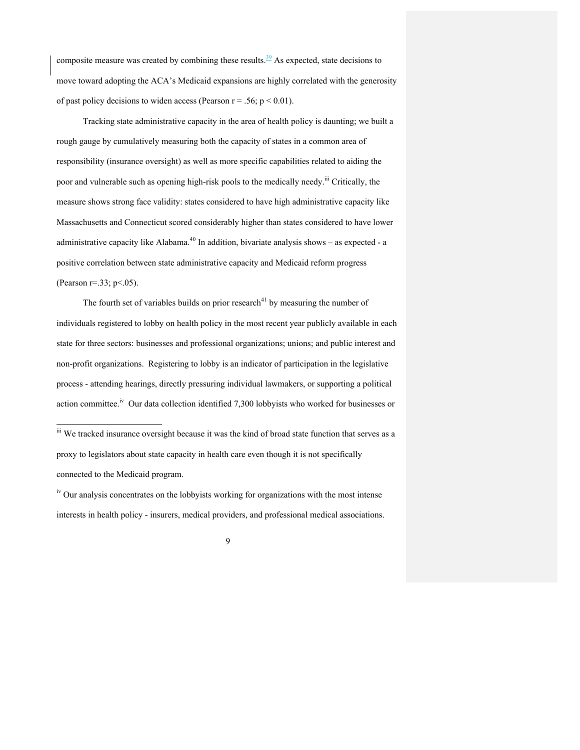composite measure was created by combining these results.<sup>39</sup> As expected, state decisions to move toward adopting the ACA's Medicaid expansions are highly correlated with the generosity of past policy decisions to widen access (Pearson  $r = .56$ ;  $p < 0.01$ ).

Tracking state administrative capacity in the area of health policy is daunting; we built a rough gauge by cumulatively measuring both the capacity of states in a common area of responsibility (insurance oversight) as well as more specific capabilities related to aiding the poor and vulnerable such as opening high-risk pools to the medically needy.<sup>iii</sup> Critically, the measure shows strong face validity: states considered to have high administrative capacity like Massachusetts and Connecticut scored considerably higher than states considered to have lower administrative capacity like Alabama.<sup>40</sup> In addition, bivariate analysis shows – as expected - a positive correlation between state administrative capacity and Medicaid reform progress (Pearson r=.33;  $p$  <.05).

The fourth set of variables builds on prior research $41$  by measuring the number of individuals registered to lobby on health policy in the most recent year publicly available in each state for three sectors: businesses and professional organizations; unions; and public interest and non-profit organizations. Registering to lobby is an indicator of participation in the legislative process - attending hearings, directly pressuring individual lawmakers, or supporting a political action committee.<sup>iv</sup> Our data collection identified 7,300 lobbyists who worked for businesses or

<sup>iii</sup> We tracked insurance oversight because it was the kind of broad state function that serves as a proxy to legislators about state capacity in health care even though it is not specifically connected to the Medicaid program.

<sup>iv</sup> Our analysis concentrates on the lobbyists working for organizations with the most intense interests in health policy - insurers, medical providers, and professional medical associations.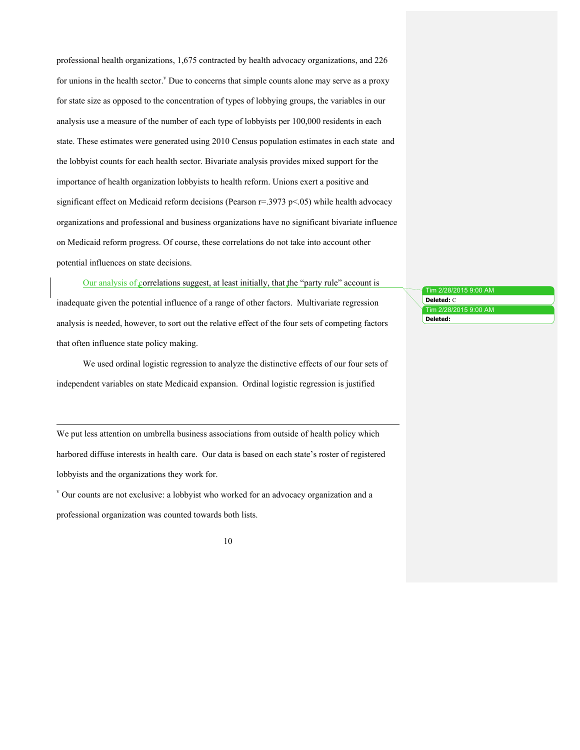professional health organizations, 1,675 contracted by health advocacy organizations, and 226 for unions in the health sector.<sup> $V$ </sup> Due to concerns that simple counts alone may serve as a proxy for state size as opposed to the concentration of types of lobbying groups, the variables in our analysis use a measure of the number of each type of lobbyists per 100,000 residents in each state. These estimates were generated using 2010 Census population estimates in each state and the lobbyist counts for each health sector. Bivariate analysis provides mixed support for the importance of health organization lobbyists to health reform. Unions exert a positive and significant effect on Medicaid reform decisions (Pearson  $r=3973$  p<.05) while health advocacy organizations and professional and business organizations have no significant bivariate influence on Medicaid reform progress. Of course, these correlations do not take into account other potential influences on state decisions.

Our analysis of correlations suggest, at least initially, that the "party rule" account is inadequate given the potential influence of a range of other factors. Multivariate regression analysis is needed, however, to sort out the relative effect of the four sets of competing factors that often influence state policy making.

We used ordinal logistic regression to analyze the distinctive effects of our four sets of independent variables on state Medicaid expansion. Ordinal logistic regression is justified

We put less attention on umbrella business associations from outside of health policy which harbored diffuse interests in health care. Our data is based on each state's roster of registered lobbyists and the organizations they work for.

 $\overline{a}$ 

<sup>v</sup> Our counts are not exclusive: a lobbyist who worked for an advocacy organization and a professional organization was counted towards both lists.

| Tim 2/28/2015 9:00 AM |  |
|-----------------------|--|
| Deleted: C            |  |
| Tim 2/28/2015 9:00 AM |  |
| Deleted:              |  |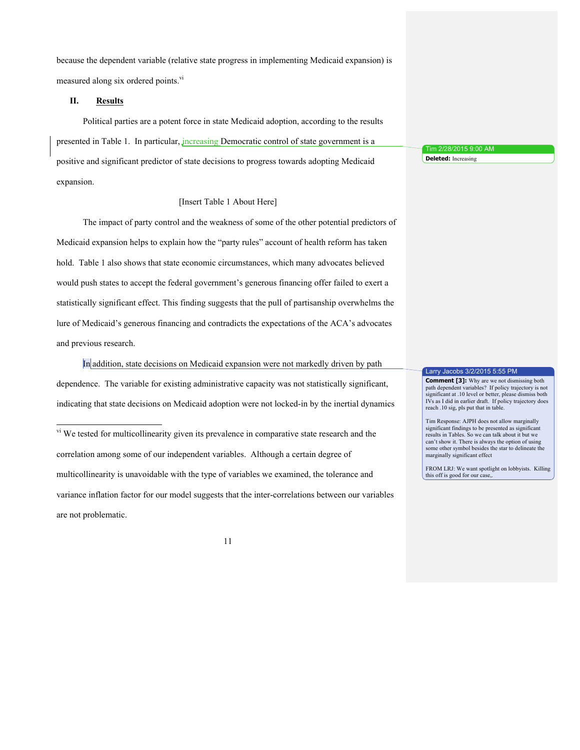because the dependent variable (relative state progress in implementing Medicaid expansion) is measured along six ordered points.<sup>vi</sup>

#### **II. Results**

Political parties are a potent force in state Medicaid adoption, according to the results presented in Table 1. In particular, *increasing* Democratic control of state government is a positive and significant predictor of state decisions to progress towards adopting Medicaid expansion.

## [Insert Table 1 About Here]

The impact of party control and the weakness of some of the other potential predictors of Medicaid expansion helps to explain how the "party rules" account of health reform has taken hold. Table 1 also shows that state economic circumstances, which many advocates believed would push states to accept the federal government's generous financing offer failed to exert a statistically significant effect. This finding suggests that the pull of partisanship overwhelms the lure of Medicaid's generous financing and contradicts the expectations of the ACA's advocates and previous research.

In addition, state decisions on Medicaid expansion were not markedly driven by path dependence. The variable for existing administrative capacity was not statistically significant, indicating that state decisions on Medicaid adoption were not locked-in by the inertial dynamics

v<sup>i</sup> We tested for multicollinearity given its prevalence in comparative state research and the correlation among some of our independent variables. Although a certain degree of multicollinearity is unavoidable with the type of variables we examined, the tolerance and variance inflation factor for our model suggests that the inter-correlations between our variables are not problematic.

Tim 2/28/2015 9:00 AM **Deleted:** Increasing

#### Larry Jacobs 3/2/2015 5:55 PM

**Comment [3]:** Why are we not dismissing both path dependent variables? If policy trajectory is not significant at .10 level or better, please dismiss both IVs as I did in earlier draft. If policy trajectory does reach .10 sig, pls put that in table.

Tim Response: AJPH does not allow marginally significant findings to be presented as significant results in Tables. So we can talk about it but we can't show it. There is always the option of using some other symbol besides the star to delineate the marginally significant effect

FROM LRJ: We want spotlight on lobbyists. Killing this off is good for our case,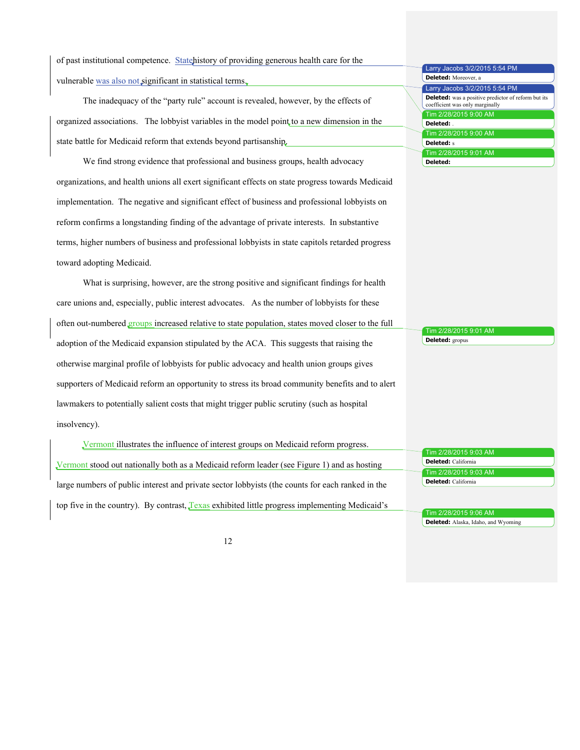of past institutional competence. Statehistory of providing generous health care for the vulnerable was also not significant in statistical terms.

The inadequacy of the "party rule" account is revealed, however, by the effects of organized associations. The lobbyist variables in the model point to a new dimension in the state battle for Medicaid reform that extends beyond partisanship.

We find strong evidence that professional and business groups, health advocacy organizations, and health unions all exert significant effects on state progress towards Medicaid implementation. The negative and significant effect of business and professional lobbyists on reform confirms a longstanding finding of the advantage of private interests. In substantive terms, higher numbers of business and professional lobbyists in state capitols retarded progress toward adopting Medicaid.

What is surprising, however, are the strong positive and significant findings for health care unions and, especially, public interest advocates. As the number of lobbyists for these often out-numbered groups increased relative to state population, states moved closer to the full adoption of the Medicaid expansion stipulated by the ACA. This suggests that raising the otherwise marginal profile of lobbyists for public advocacy and health union groups gives supporters of Medicaid reform an opportunity to stress its broad community benefits and to alert lawmakers to potentially salient costs that might trigger public scrutiny (such as hospital insolvency).

Vermont illustrates the influence of interest groups on Medicaid reform progress. Vermont stood out nationally both as a Medicaid reform leader (see Figure 1) and as hosting large numbers of public interest and private sector lobbyists (the counts for each ranked in the top five in the country). By contrast, Texas exhibited little progress implementing Medicaid's

Larry Jacobs 3/2/2015 5:54 PM **Deleted:** Moreover, a Larry Jacobs 3/2/2015 5:54 PM **Deleted:** was a positive predictor of reform but its coefficient was only marginally Tim 2/28/2015 9:00 AM **Deleted:** . Tim 2/28/2015 9:00 AM **Deleted:** s Tim 2/28/2015 9:01 AM **Deleted:** 

Tim 2/28/2015 9:01 AM **Deleted:** gropus

Tim 2/28/2015 9:03 AM **Deleted:** California Tim 2/28/2015 9:03 AM **Deleted:** California

Tim 2/28/2015 9:06 AM **Deleted:** Alaska, Idaho, and Wyoming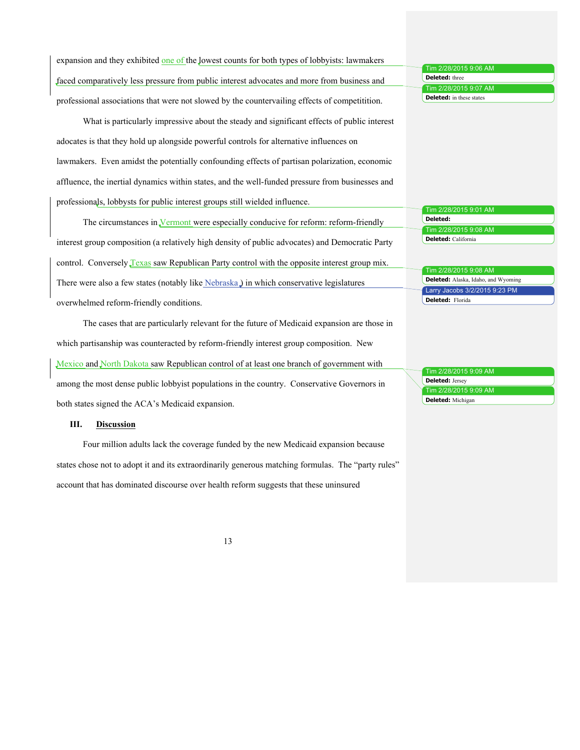expansion and they exhibited one of the lowest counts for both types of lobbyists: lawmakers faced comparatively less pressure from public interest advocates and more from business and professional associations that were not slowed by the countervailing effects of competitition.

What is particularly impressive about the steady and significant effects of public interest adocates is that they hold up alongside powerful controls for alternative influences on lawmakers. Even amidst the potentially confounding effects of partisan polarization, economic affluence, the inertial dynamics within states, and the well-funded pressure from businesses and professionals, lobbysts for public interest groups still wielded influence.

The circumstances in Vermont were especially conducive for reform: reform-friendly interest group composition (a relatively high density of public advocates) and Democratic Party control. Conversely Texas saw Republican Party control with the opposite interest group mix. There were also a few states (notably like Nebraska ) in which conservative legislatures overwhelmed reform-friendly conditions.

The cases that are particularly relevant for the future of Medicaid expansion are those in which partisanship was counteracted by reform-friendly interest group composition. New Mexico and North Dakota saw Republican control of at least one branch of government with among the most dense public lobbyist populations in the country. Conservative Governors in both states signed the ACA's Medicaid expansion.

# **III. Discussion**

Four million adults lack the coverage funded by the new Medicaid expansion because states chose not to adopt it and its extraordinarily generous matching formulas. The "party rules" account that has dominated discourse over health reform suggests that these uninsured

13

#### Tim 2/28/2015 9:06 AM **Deleted:** three Tim 2/28/2015 9:07 AM **Deleted:** in these states

Tim 2/28/2015 9:01 AM **Deleted:**  Tim 2/28/2015 9:08 AM **Deleted:** California

Tim 2/28/2015 9:08 AM **Deleted:** Alaska, Idaho, and Wyoming Larry Jacobs 3/2/2015 9:23 PM **Deleted:** Florida

Tim 2/28/2015 9:09 **Deleted:** Jersey Tim 2/28/2015 9:09 AM **Deleted:** Michigan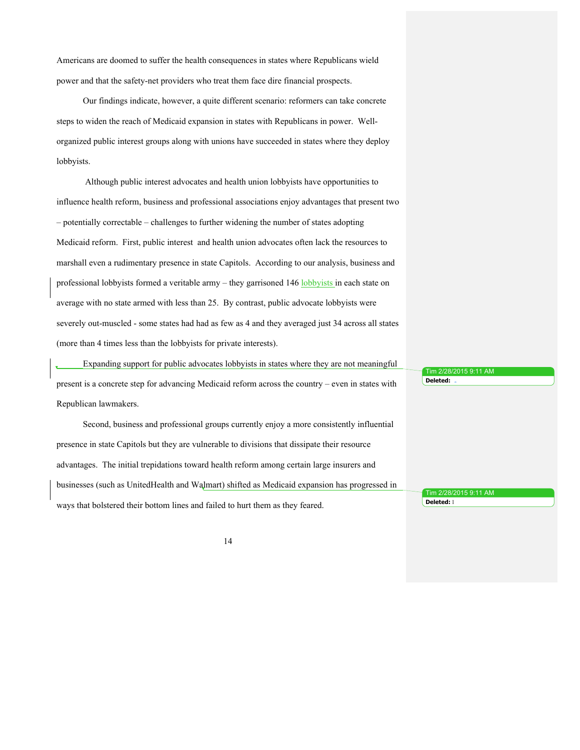Americans are doomed to suffer the health consequences in states where Republicans wield power and that the safety-net providers who treat them face dire financial prospects.

Our findings indicate, however, a quite different scenario: reformers can take concrete steps to widen the reach of Medicaid expansion in states with Republicans in power. Wellorganized public interest groups along with unions have succeeded in states where they deploy lobbyists.

Although public interest advocates and health union lobbyists have opportunities to influence health reform, business and professional associations enjoy advantages that present two – potentially correctable – challenges to further widening the number of states adopting Medicaid reform. First, public interest and health union advocates often lack the resources to marshall even a rudimentary presence in state Capitols. According to our analysis, business and professional lobbyists formed a veritable army – they garrisoned 146 lobbyists in each state on average with no state armed with less than 25. By contrast, public advocate lobbyists were severely out-muscled - some states had had as few as 4 and they averaged just 34 across all states (more than 4 times less than the lobbyists for private interests).

Expanding support for public advocates lobbyists in states where they are not meaningful present is a concrete step for advancing Medicaid reform across the country – even in states with Republican lawmakers.

Second, business and professional groups currently enjoy a more consistently influential presence in state Capitols but they are vulnerable to divisions that dissipate their resource advantages. The initial trepidations toward health reform among certain large insurers and businesses (such as UnitedHealth and Walmart) shifted as Medicaid expansion has progressed in ways that bolstered their bottom lines and failed to hurt them as they feared.

Tim 2/28/2015 9:11 **Deleted:** 

Tim 2/28/2015 9:11 AM **Deleted:** l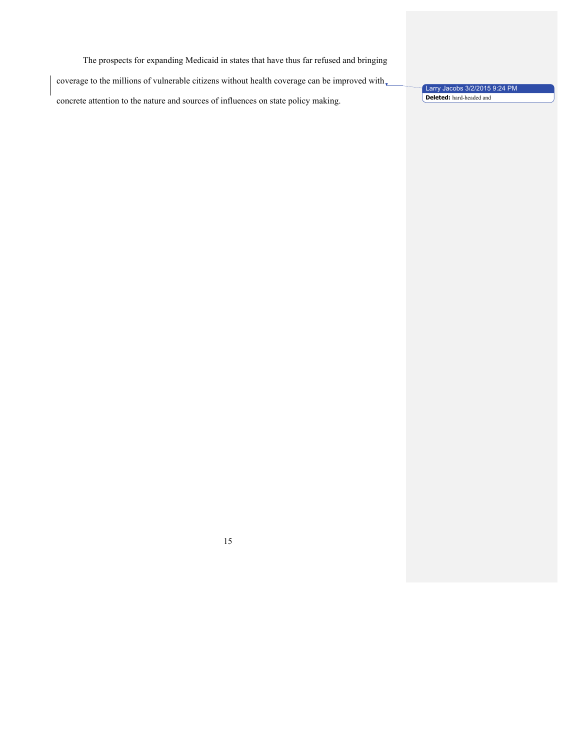The prospects for expanding Medicaid in states that have thus far refused and bringing

coverage to the millions of vulnerable citizens without health coverage can be improved with

concrete attention to the nature and sources of influences on state policy making.

Larry Jacobs 3/2/2015 9:24 PM **Deleted:** hard-headed and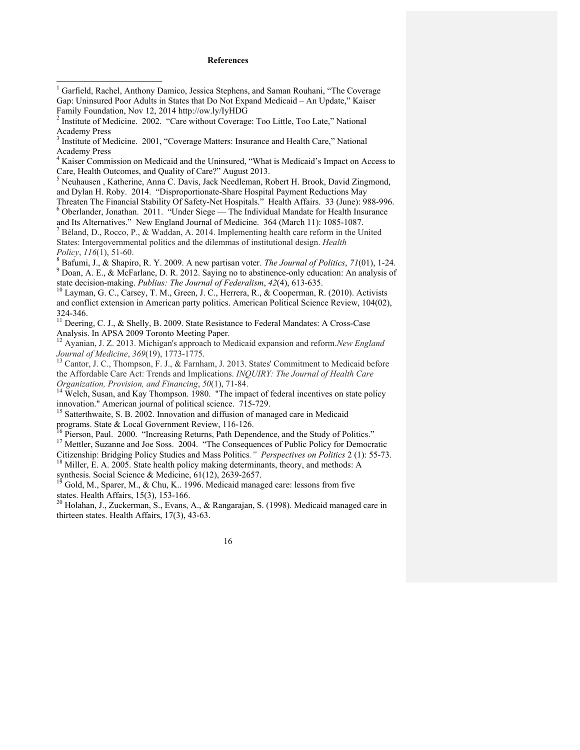#### **References**

<sup>5</sup> Neuhausen , Katherine, Anna C. Davis, Jack Needleman, Robert H. Brook, David Zingmond, and Dylan H. Roby. 2014. "Disproportionate-Share Hospital Payment Reductions May

 $6$  Oberlander, Jonathan. 2011. "Under Siege — The Individual Mandate for Health Insurance

and Its Alternatives." New England Journal of Medicine. 364 (March 11): 1085-1087.<br><sup>7</sup> Béland, D., Rocco, P., & Waddan, A. 2014. Implementing health care reform in the United

States: Intergovernmental politics and the dilemmas of institutional design. *Health* 

*Policy, 116(1), 51-60.*<br><sup>8</sup> Bafumi, J., & Shapiro, R. Y. 2009. A new partisan voter. *The Journal of Politics*, 71(01), 1-24.<br><sup>9</sup> Doan, A. E., & McFarlane, D. R. 2012. Saying no to abstinence-only education: An analysis state decision-making. *Publius: The Journal of Federalism*, 42(4), 613-635.<br><sup>10</sup> Layman, G. C., Carsey, T. M., Green, J. C., Herrera, R., & Cooperman, R. (2010). Activists

and conflict extension in American party politics. American Political Science Review, 104(02), 324-346. <sup>11</sup> Deering, C. J., & Shelly, B. 2009. State Resistance to Federal Mandates: A Cross-Case

Analysis. In APSA 2009 Toronto Meeting Paper. <sup>12</sup> Ayanian, J. Z. 2013. Michigan's approach to Medicaid expansion and reform.*New England* 

*Journal of Medicine*, 369(19), 1773-1775.<br><sup>13</sup> Cantor, J. C., Thompson, F. J., & Farnham, J. 2013. States' Commitment to Medicaid before

the Affordable Care Act: Trends and Implications. *INQUIRY: The Journal of Health Care* 

*Organization, Provision, and Financing*, 50(1), 71-84.<br><sup>14</sup> Welch, Susan, and Kay Thompson. 1980. "The impact of federal incentives on state policy<br>innovation." American journal of political science. 715-729.

 $15$  Satterthwaite, S. B. 2002. Innovation and diffusion of managed care in Medicaid

programs. State & Local Government Review, 116-126.<br><sup>16</sup> Pierson, Paul. 2000. "Increasing Returns, Path Dependence, and the Study of Politics."<br><sup>17</sup> Mettler, Suzanne and Joe Soss. 2004. "The Consequences of Public Policy f

<sup>18</sup> Miller, E. A. 2005. State health policy making determinants, theory, and methods: A synthesis. Social Science & Medicine, 61(12), 2639-2657.

<sup>19</sup> Gold, M., Sparer, M., & Chu, K.. 1996. Medicaid managed care: lessons from five states. Health Affairs, 15(3), 153-166.

 $30$  Holahan, J., Zuckerman, S., Evans, A., & Rangarajan, S. (1998). Medicaid managed care in thirteen states. Health Affairs, 17(3), 43-63.

<sup>&</sup>lt;sup>1</sup> Garfield, Rachel, Anthony Damico, Jessica Stephens, and Saman Rouhani, "The Coverage Gap: Uninsured Poor Adults in States that Do Not Expand Medicaid – An Update," Kaiser Family Foundation, Nov 12, 2014 http://ow.ly/IyHDG

<sup>2</sup> Institute of Medicine. 2002. "Care without Coverage: Too Little, Too Late," National Academy Press

<sup>&</sup>lt;sup>3</sup> Institute of Medicine. 2001, "Coverage Matters: Insurance and Health Care," National Academy Press

<sup>4</sup> Kaiser Commission on Medicaid and the Uninsured, "What is Medicaid's Impact on Access to Care, Health Outcomes, and Quality of Care?" August 2013.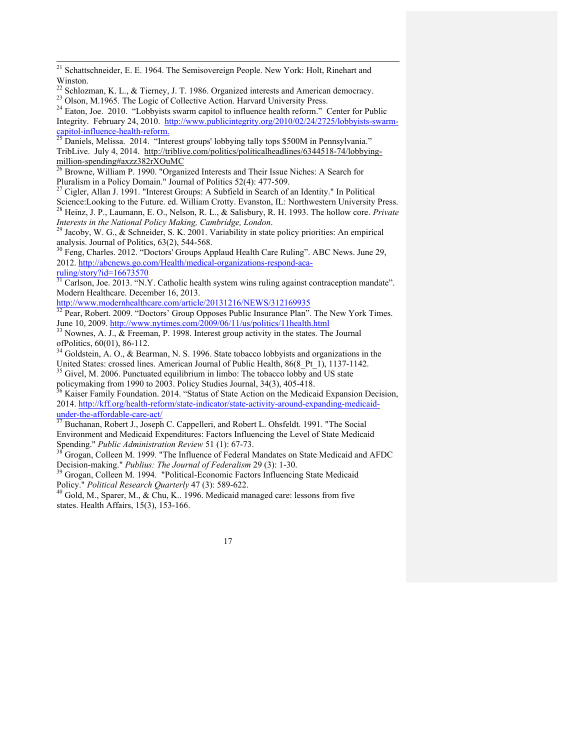<sup>21</sup> Schattschneider, E. E. 1964. The Semisovereign People. New York: Holt, Rinehart and Winston.<br><sup>22</sup> Schlozman, K. L., & Tierney, J. T. 1986. Organized interests and American democracy.

<sup>23</sup> Olson, M.1965. The Logic of Collective Action. Harvard University Press.<br><sup>24</sup> Eaton, Joe. 2010. "Lobbyists swarm capitol to influence health reform." Center for Public Integrity. February 24, 2010. http://www.publicintegrity.org/2010/02/24/2725/lobbyists-swarm-<br>capitol-influence-health-reform.<br> $\frac{25 \text{ Denials Meltiner 2014}}{25}$ 

Daniels, Melissa. 2014. "Interest groups' lobbying tally tops \$500M in Pennsylvania." TribLive. July 4, 2014. http://triblive.com/politics/politicalheadlines/6344518-74/lobbying-<br>million-spending#axzz382rXOuMC

 $\frac{26}{26}$  Browne, William P. 1990. "Organized Interests and Their Issue Niches: A Search for Pluralism in a Policy Domain." Journal of Politics 52(4): 477-509.

Cigler, Allan J. 1991. "Interest Groups: A Subfield in Search of an Identity." In Political Science:Looking to the Future. ed. William Crotty. Evanston, IL: Northwestern University Press. <sup>28</sup> Heinz, J. P., Laumann, E. O., Nelson, R. L., & Salisbury, R. H. 1993. The hollow core. *Private* 

*Interests in the National Policy Making, Cambridge, London*. <sup>29</sup> Jacoby, W. G., & Schneider, S. K. 2001. Variability in state policy priorities: An empirical

analysis. Journal of Politics, 63(2), 544-568.<br><sup>30</sup> Feng, Charles. 2012. "Doctors' Groups Applaud Health Care Ruling". ABC News. June 29,

2012. http://abcnews.go.com/Health/medical-organizations-respond-acaruling/story?id=16673570

 $\frac{31}{31}$  Carlson, Joe. 2013. "N.Y. Catholic health system wins ruling against contraception mandate". Modern Healthcare. December 16, 2013.

http://www.modernhealthcare.com/article/20131216/NEWS/312169935

32 Pear, Robert. 2009. "Doctors' Group Opposes Public Insurance Plan". The New York Times.<br>June 10, 2009. http://www.nytimes.com/2009/06/11/us/politics/11health.html

<sup>33</sup> Nownes, A. J.,  $\&$  Freeman, P. 1998. Interest group activity in the states. The Journal

ofPolitics,  $60(01)$ ,  $86-112$ .<br><sup>34</sup> Goldstein, A. O., & Bearman, N. S. 1996. State tobacco lobbyists and organizations in the United States: crossed lines. American Journal of Public Health,  $86(8 \text{ Pt} 1)$ , 1137-1142.

 $35$  Givel, M. 2006. Punctuated equilibrium in limbo: The tobacco lobby and US state policymaking from 1990 to 2003. Policy Studies Journal, 34(3), 405-418.<br><sup>36</sup> Kaiser Family Foundation. 2014. "Status of State Action on the Medicaid Expansion Decision,

2014. http://kff.org/health-reform/state-indicator/state-activity-around-expanding-medicaid-<br>under-the-affordable-care-act/

 $\frac{37}{37}$  Buchanan, Robert J., Joseph C. Cappelleri, and Robert L. Ohsfeldt. 1991. "The Social Environment and Medicaid Expenditures: Factors Influencing the Level of State Medicaid Spending." Public Administration Review 51 (1): 67-73.

<sup>38</sup> Grogan, Colleen M. 1999. "The Influence of Federal Mandates on State Medicaid and AFDC<br>Decision-making." *Publius: The Journal of Federalism* 29 (3): 1-30.

<sup>39</sup> Grogan, Colleen M. 1994. "Political-Economic Factors Influencing State Medicaid<br>Policy." *Political Research Quarterly* 47 (3): 589-622.

<sup>40</sup> Gold, M., Sparer, M., & Chu, K.. 1996. Medicaid managed care: lessons from five states. Health Affairs, 15(3), 153-166.